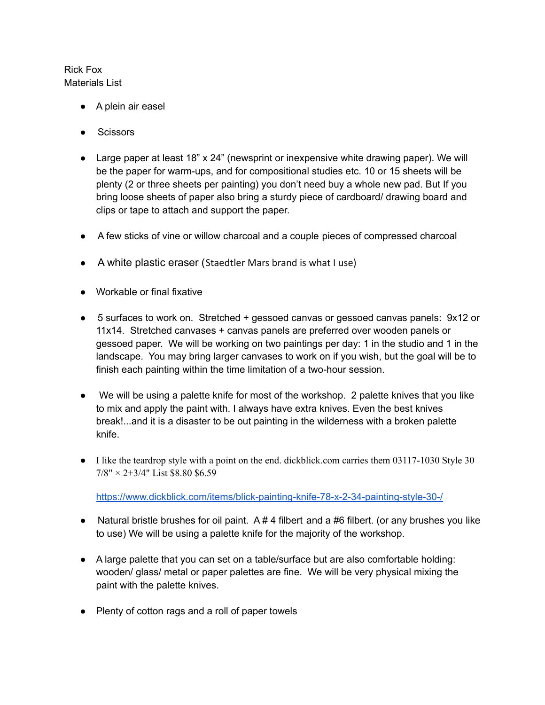## Rick Fox Materials List

- A plein air easel
- Scissors
- Large paper at least 18" x 24" (newsprint or inexpensive white drawing paper). We will be the paper for warm-ups, and for compositional studies etc. 10 or 15 sheets will be plenty (2 or three sheets per painting) you don't need buy a whole new pad. But If you bring loose sheets of paper also bring a sturdy piece of cardboard/ drawing board and clips or tape to attach and support the paper.
- A few sticks of vine or willow charcoal and a couple pieces of compressed charcoal
- A white plastic eraser (Staedtler Mars brand is what I use)
- Workable or final fixative
- 5 surfaces to work on. Stretched + gessoed canvas or gessoed canvas panels: 9x12 or 11x14. Stretched canvases + canvas panels are preferred over wooden panels or gessoed paper. We will be working on two paintings per day: 1 in the studio and 1 in the landscape. You may bring larger canvases to work on if you wish, but the goal will be to finish each painting within the time limitation of a two-hour session.
- We will be using a palette knife for most of the workshop. 2 palette knives that you like to mix and apply the paint with. I always have extra knives. Even the best knives break!...and it is a disaster to be out painting in the wilderness with a broken palette knife.
- I like the teardrop style with a point on the end. dickblick.com carries them 03117-1030 Style 30  $7/8" \times 2+3/4"$  List \$8.80 \$6.59

<https://www.dickblick.com/items/blick-painting-knife-78-x-2-34-painting-style-30-/>

- Natural bristle brushes for oil paint.  $A \# 4$  filbert and a #6 filbert. (or any brushes you like to use) We will be using a palette knife for the majority of the workshop.
- A large palette that you can set on a table/surface but are also comfortable holding: wooden/ glass/ metal or paper palettes are fine. We will be very physical mixing the paint with the palette knives.
- Plenty of cotton rags and a roll of paper towels